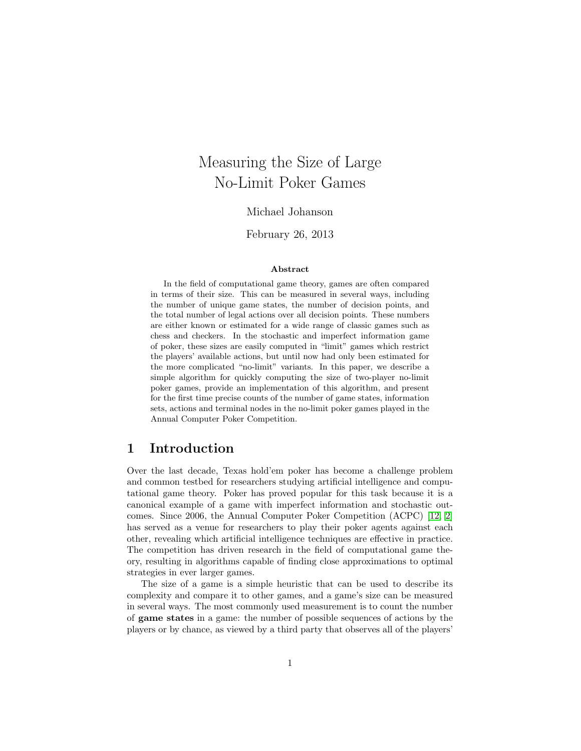# Measuring the Size of Large No-Limit Poker Games

Michael Johanson

February 26, 2013

#### Abstract

In the field of computational game theory, games are often compared in terms of their size. This can be measured in several ways, including the number of unique game states, the number of decision points, and the total number of legal actions over all decision points. These numbers are either known or estimated for a wide range of classic games such as chess and checkers. In the stochastic and imperfect information game of poker, these sizes are easily computed in "limit" games which restrict the players' available actions, but until now had only been estimated for the more complicated "no-limit" variants. In this paper, we describe a simple algorithm for quickly computing the size of two-player no-limit poker games, provide an implementation of this algorithm, and present for the first time precise counts of the number of game states, information sets, actions and terminal nodes in the no-limit poker games played in the Annual Computer Poker Competition.

### 1 Introduction

Over the last decade, Texas hold'em poker has become a challenge problem and common testbed for researchers studying artificial intelligence and computational game theory. Poker has proved popular for this task because it is a canonical example of a game with imperfect information and stochastic outcomes. Since 2006, the Annual Computer Poker Competition (ACPC) [\[12,](#page-15-0) [2\]](#page-14-0) has served as a venue for researchers to play their poker agents against each other, revealing which artificial intelligence techniques are effective in practice. The competition has driven research in the field of computational game theory, resulting in algorithms capable of finding close approximations to optimal strategies in ever larger games.

The size of a game is a simple heuristic that can be used to describe its complexity and compare it to other games, and a game's size can be measured in several ways. The most commonly used measurement is to count the number of game states in a game: the number of possible sequences of actions by the players or by chance, as viewed by a third party that observes all of the players'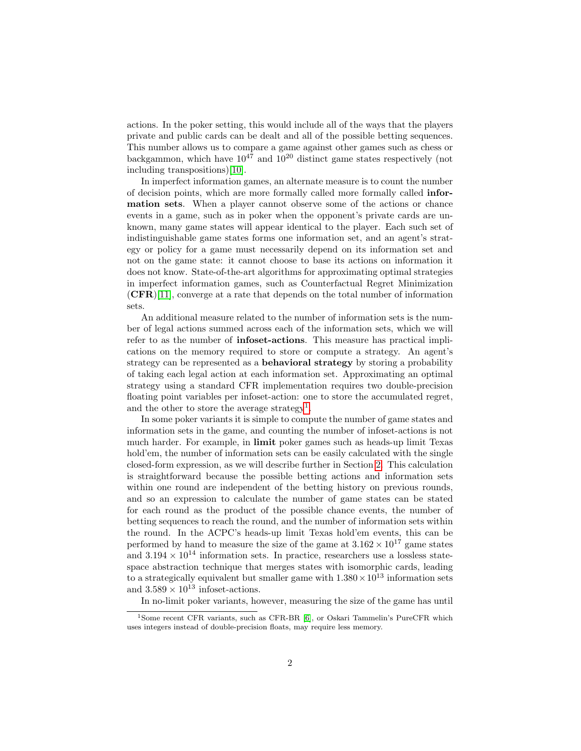actions. In the poker setting, this would include all of the ways that the players private and public cards can be dealt and all of the possible betting sequences. This number allows us to compare a game against other games such as chess or backgammon, which have  $10^{47}$  and  $10^{20}$  distinct game states respectively (not including transpositions)[\[10\]](#page-15-1).

In imperfect information games, an alternate measure is to count the number of decision points, which are more formally called more formally called information sets. When a player cannot observe some of the actions or chance events in a game, such as in poker when the opponent's private cards are unknown, many game states will appear identical to the player. Each such set of indistinguishable game states forms one information set, and an agent's strategy or policy for a game must necessarily depend on its information set and not on the game state: it cannot choose to base its actions on information it does not know. State-of-the-art algorithms for approximating optimal strategies in imperfect information games, such as Counterfactual Regret Minimization  $(CFR)[11]$  $(CFR)[11]$ , converge at a rate that depends on the total number of information sets.

An additional measure related to the number of information sets is the number of legal actions summed across each of the information sets, which we will refer to as the number of infoset-actions. This measure has practical implications on the memory required to store or compute a strategy. An agent's strategy can be represented as a behavioral strategy by storing a probability of taking each legal action at each information set. Approximating an optimal strategy using a standard CFR implementation requires two double-precision floating point variables per infoset-action: one to store the accumulated regret, and the other to store the average strategy<sup>[1](#page-1-0)</sup>.

In some poker variants it is simple to compute the number of game states and information sets in the game, and counting the number of infoset-actions is not much harder. For example, in limit poker games such as heads-up limit Texas hold'em, the number of information sets can be easily calculated with the single closed-form expression, as we will describe further in Section [2.](#page-2-0) This calculation is straightforward because the possible betting actions and information sets within one round are independent of the betting history on previous rounds, and so an expression to calculate the number of game states can be stated for each round as the product of the possible chance events, the number of betting sequences to reach the round, and the number of information sets within the round. In the ACPC's heads-up limit Texas hold'em events, this can be performed by hand to measure the size of the game at  $3.162 \times 10^{17}$  game states and  $3.194 \times 10^{14}$  information sets. In practice, researchers use a lossless statespace abstraction technique that merges states with isomorphic cards, leading to a strategically equivalent but smaller game with  $1.380 \times 10^{13}$  information sets and  $3.589 \times 10^{13}$  infoset-actions.

In no-limit poker variants, however, measuring the size of the game has until

<span id="page-1-0"></span><sup>&</sup>lt;sup>1</sup>Some recent CFR variants, such as CFR-BR [\[6\]](#page-14-1), or Oskari Tammelin's PureCFR which uses integers instead of double-precision floats, may require less memory.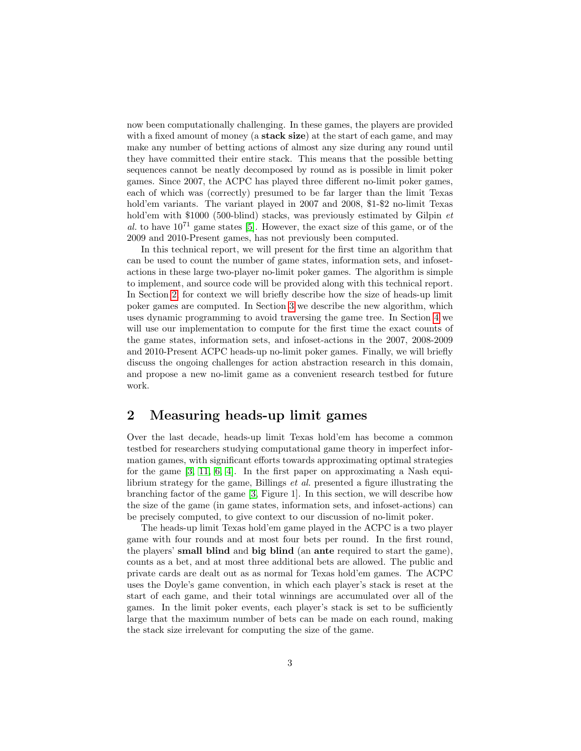now been computationally challenging. In these games, the players are provided with a fixed amount of money (a **stack size**) at the start of each game, and may make any number of betting actions of almost any size during any round until they have committed their entire stack. This means that the possible betting sequences cannot be neatly decomposed by round as is possible in limit poker games. Since 2007, the ACPC has played three different no-limit poker games, each of which was (correctly) presumed to be far larger than the limit Texas hold'em variants. The variant played in 2007 and 2008, \$1-\$2 no-limit Texas hold'em with \$1000 (500-blind) stacks, was previously estimated by Gilpin *et* al. to have  $10^{71}$  game states [\[5\]](#page-14-2). However, the exact size of this game, or of the 2009 and 2010-Present games, has not previously been computed.

In this technical report, we will present for the first time an algorithm that can be used to count the number of game states, information sets, and infosetactions in these large two-player no-limit poker games. The algorithm is simple to implement, and source code will be provided along with this technical report. In Section [2,](#page-2-0) for context we will briefly describe how the size of heads-up limit poker games are computed. In Section [3](#page-5-0) we describe the new algorithm, which uses dynamic programming to avoid traversing the game tree. In Section [4](#page-8-0) we will use our implementation to compute for the first time the exact counts of the game states, information sets, and infoset-actions in the 2007, 2008-2009 and 2010-Present ACPC heads-up no-limit poker games. Finally, we will briefly discuss the ongoing challenges for action abstraction research in this domain, and propose a new no-limit game as a convenient research testbed for future work.

## <span id="page-2-0"></span>2 Measuring heads-up limit games

Over the last decade, heads-up limit Texas hold'em has become a common testbed for researchers studying computational game theory in imperfect information games, with significant efforts towards approximating optimal strategies for the game [\[3,](#page-14-3) [11,](#page-15-2) [6,](#page-14-1) [4\]](#page-14-4). In the first paper on approximating a Nash equilibrium strategy for the game, Billings et al. presented a figure illustrating the branching factor of the game [\[3,](#page-14-3) Figure 1]. In this section, we will describe how the size of the game (in game states, information sets, and infoset-actions) can be precisely computed, to give context to our discussion of no-limit poker.

The heads-up limit Texas hold'em game played in the ACPC is a two player game with four rounds and at most four bets per round. In the first round, the players' small blind and big blind (an ante required to start the game), counts as a bet, and at most three additional bets are allowed. The public and private cards are dealt out as as normal for Texas hold'em games. The ACPC uses the Doyle's game convention, in which each player's stack is reset at the start of each game, and their total winnings are accumulated over all of the games. In the limit poker events, each player's stack is set to be sufficiently large that the maximum number of bets can be made on each round, making the stack size irrelevant for computing the size of the game.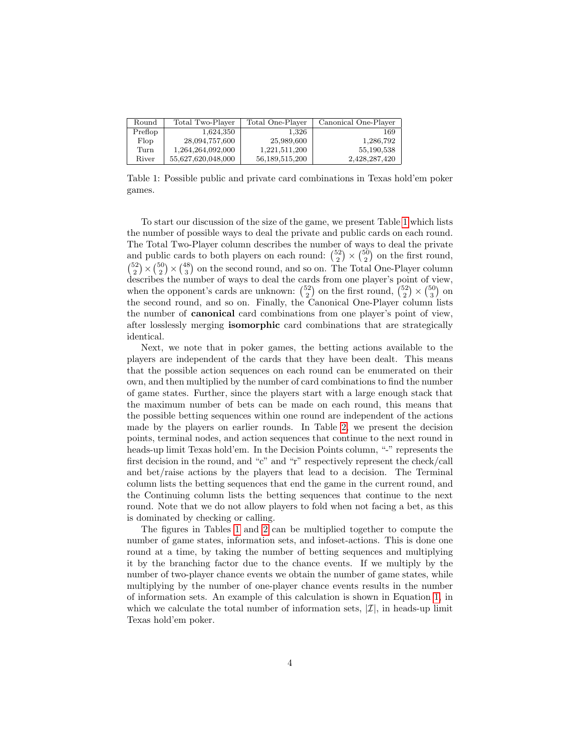<span id="page-3-0"></span>

| Round   | Total Two-Player   | Total One-Player  | Canonical One-Player |
|---------|--------------------|-------------------|----------------------|
| Preflop | 1,624,350          | 1.326             | 169                  |
| Flop    | 28,094,757,600     | 25,989,600        | 1,286,792            |
| Turn    | 1,264,264,092,000  | 1.221.511.200     | 55.190.538           |
| River   | 55,627,620,048,000 | 56, 189, 515, 200 | 2,428,287,420        |

Table 1: Possible public and private card combinations in Texas hold'em poker games.

To start our discussion of the size of the game, we present Table [1](#page-3-0) which lists the number of possible ways to deal the private and public cards on each round. The Total Two-Player column describes the number of ways to deal the private and public cards to both players on each round:  $\binom{52}{2} \times \binom{50}{2}$  on the first round,  $\binom{52}{2} \times \binom{50}{2} \times \binom{48}{3}$  on the second round, and so on. The Total One-Player column describes the number of ways to deal the cards from one player's point of view, when the opponent's cards are unknown:  $\binom{52}{2}$  on the first round,  $\binom{52}{2} \times \binom{50}{3}$  on the second round, and so on. Finally, the Canonical One-Player column lists the number of canonical card combinations from one player's point of view, after losslessly merging isomorphic card combinations that are strategically identical.

Next, we note that in poker games, the betting actions available to the players are independent of the cards that they have been dealt. This means that the possible action sequences on each round can be enumerated on their own, and then multiplied by the number of card combinations to find the number of game states. Further, since the players start with a large enough stack that the maximum number of bets can be made on each round, this means that the possible betting sequences within one round are independent of the actions made by the players on earlier rounds. In Table [2,](#page-4-0) we present the decision points, terminal nodes, and action sequences that continue to the next round in heads-up limit Texas hold'em. In the Decision Points column, "-" represents the first decision in the round, and "c" and "r" respectively represent the check/call and bet/raise actions by the players that lead to a decision. The Terminal column lists the betting sequences that end the game in the current round, and the Continuing column lists the betting sequences that continue to the next round. Note that we do not allow players to fold when not facing a bet, as this is dominated by checking or calling.

The figures in Tables [1](#page-3-0) and [2](#page-4-0) can be multiplied together to compute the number of game states, information sets, and infoset-actions. This is done one round at a time, by taking the number of betting sequences and multiplying it by the branching factor due to the chance events. If we multiply by the number of two-player chance events we obtain the number of game states, while multiplying by the number of one-player chance events results in the number of information sets. An example of this calculation is shown in Equation [1,](#page-4-1) in which we calculate the total number of information sets,  $|\mathcal{I}|$ , in heads-up limit Texas hold'em poker.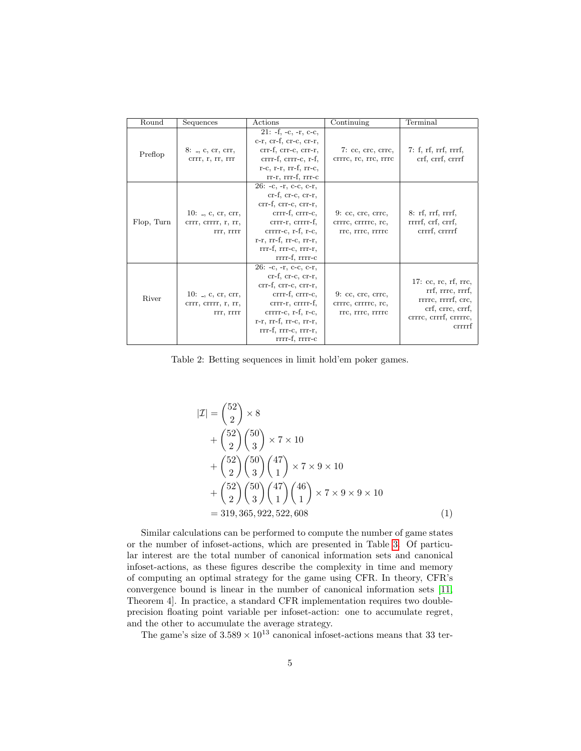<span id="page-4-0"></span>

| Round      | Sequences                                                    | Actions                                                                                                                                                                                                                | Continuing                                                    | Terminal                                                                                                                          |
|------------|--------------------------------------------------------------|------------------------------------------------------------------------------------------------------------------------------------------------------------------------------------------------------------------------|---------------------------------------------------------------|-----------------------------------------------------------------------------------------------------------------------------------|
| Preflop    | $8:$ $\Box$ , c, cr, crr,<br>crrr, r, rr, rrr                | $21: -f, -c, -r, c-c,$<br>$c-r$ , $cr-f$ , $cr-c$ , $cr-r$ ,<br>crr-f, crr-c, crr-r,<br>crrr-f, crrr-c, r-f,<br>$r-c$ , $r-r$ , $rr-f$ , $rr-c$ ,<br>rr-r, rrr-f, rrr-c                                                | 7:cc, crc, crrc,<br>crrrc, rc, rrc, rrrc                      | 7: f, rf, rrf, rrrf,<br>crf, crrf, crrrf                                                                                          |
| Flop, Turn | 10: $\Box$ , c, cr, crr,<br>crrr, crrrr, r, rr,<br>rrr, rrrr | $26: -c, -r, c-c, c-r,$<br>$cr-f, cr-c, cr-r,$<br>crr-f, crr-c, crr-r,<br>crrr-f, crrr-c,<br>crrr-r, crrrr-f,<br>$crrrr-c$ , r-f, r-c,<br>$r-r$ , $rr-f$ , $rr-c$ , $rr-r$ ,<br>rrr-f, rrr-c, rrr-r,<br>rrrr-f, rrrr-c | $9:$ cc, crc, crrc,<br>crrrc, crrrrc, rc,<br>rrc, rrrc, rrrrc | $8:$ rf, rrf, rrrf,<br>rrrrf, crf, crrf,<br>crrrf, crrrrf                                                                         |
| River      | 10: $\Box$ , c, cr, crr,<br>crrr, crrrr, r, rr,<br>rrr, rrrr | $26: -c, -r, c-c, c-r,$<br>$cr-f, cr-c, cr-r,$<br>crr-f, crr-c, crr-r,<br>crrr-f, crrr-c,<br>crrr-r, crrrr-f,<br>$crrrr-c$ , r-f, r-c,<br>$r-r$ , $rr-f$ , $rr-c$ , $rr-r$ ,<br>rrr-f, rrr-c, rrr-r,<br>rrrr-f, rrrr-c | $9:$ cc, crc, crrc,<br>crrrc, crrrrc, rc,<br>rrc, rrrc, rrrrc | 17: $cc$ , $rc$ , $rf$ , $rrc$ ,<br>rrf, rrrc, rrrf,<br>rrrrc, rrrrf, crc,<br>crf, crrc, crrf,<br>crrrc, crrrf, crrrrc,<br>crrrrf |

Table 2: Betting sequences in limit hold'em poker games.

<span id="page-4-1"></span>
$$
|\mathcal{I}| = {\binom{52}{2}} \times 8
$$
  
+ 
$$
{\binom{52}{2}} {\binom{50}{3}} \times 7 \times 10
$$
  
+ 
$$
{\binom{52}{2}} {\binom{50}{3}} {\binom{47}{1}} \times 7 \times 9 \times 10
$$
  
+ 
$$
{\binom{52}{2}} {\binom{50}{3}} {\binom{47}{1}} {\binom{46}{1}} \times 7 \times 9 \times 9 \times 10
$$
  
= 319, 365, 922, 522, 608 (1)

Similar calculations can be performed to compute the number of game states or the number of infoset-actions, which are presented in Table [3.](#page-5-1) Of particular interest are the total number of canonical information sets and canonical infoset-actions, as these figures describe the complexity in time and memory of computing an optimal strategy for the game using CFR. In theory, CFR's convergence bound is linear in the number of canonical information sets [\[11,](#page-15-2) Theorem 4]. In practice, a standard CFR implementation requires two doubleprecision floating point variable per infoset-action: one to accumulate regret, and the other to accumulate the average strategy.

The game's size of  $3.589 \times 10^{13}$  canonical infoset-actions means that 33 ter-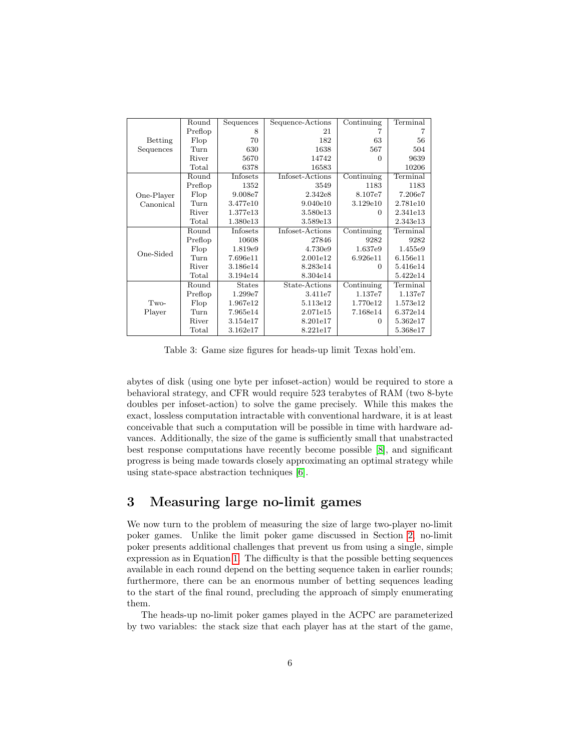<span id="page-5-1"></span>

|                | Round   | Sequences     | Sequence-Actions | Continuing                     | Terminal                  |
|----------------|---------|---------------|------------------|--------------------------------|---------------------------|
|                | Preflop | 8             | 21               |                                |                           |
| <b>Betting</b> | Flop    | 70            | 182              | 63                             | 56                        |
| Sequences      | Turn    | 630           | 1638             | 567                            | 504                       |
|                | River   | 5670          | 14742            | 0                              | 9639                      |
|                | Total   | 6378          | 16583            |                                | 10206                     |
|                | Round   | Infosets      | Infoset-Actions  | Continuing                     | $\operatorname{Terminal}$ |
|                | Preflop | 1352          | 3549             | 1183                           | 1183                      |
| One-Player     | Flop    | 9.008e7       | 2.342e8          | 8.107e7                        | 7.206e7                   |
| Canonical      | Turn    | 3.477e10      | 9.040e10         | 3.129e10                       | 2.781e10                  |
|                | River   | 1.377e13      | 3.580e13         | $\Omega$                       | 2.341e13                  |
|                | Total   | 1.380e13      | 3.589e13         |                                | 2.343e13                  |
|                | Round   | Infosets      | Infoset-Actions  | Continuing                     | Terminal                  |
|                | Preflop | 10608         | 27846            | 9282                           | 9282                      |
|                | Flop    | 1.819e9       | 4.730e9          | 1.637e9                        | 1.455e9                   |
| One-Sided      | Turn    | 7.696e11      | 2.001e12         | 6.926e11                       | 6.156e11                  |
|                | River   | 3.186e14      | 8.283e14         | 0                              | 5.416e14                  |
|                | Total   | 3.194e14      | 8.304e14         |                                | 5.422e14                  |
|                | Round   | <b>States</b> | State-Actions    | $\overline{\text{Continuing}}$ | Terminal                  |
|                | Preflop | 1.299e7       | 3.411e7          | 1.137e7                        | 1.137e7                   |
| Two-           | Flop    | 1.967e12      | 5.113e12         | 1.770e12                       | 1.573e12                  |
| Player         | Turn    | 7.965e14      | 2.071e15         | 7.168e14                       | 6.372e14                  |
|                | River   | 3.154e17      | 8.201e17         | $\Omega$                       | 5.362e17                  |
|                | Total   | 3.162e17      | 8.221e17         |                                | 5.368e17                  |

Table 3: Game size figures for heads-up limit Texas hold'em.

abytes of disk (using one byte per infoset-action) would be required to store a behavioral strategy, and CFR would require 523 terabytes of RAM (two 8-byte doubles per infoset-action) to solve the game precisely. While this makes the exact, lossless computation intractable with conventional hardware, it is at least conceivable that such a computation will be possible in time with hardware advances. Additionally, the size of the game is sufficiently small that unabstracted best response computations have recently become possible [\[8\]](#page-14-5), and significant progress is being made towards closely approximating an optimal strategy while using state-space abstraction techniques [\[6\]](#page-14-1).

## <span id="page-5-0"></span>3 Measuring large no-limit games

We now turn to the problem of measuring the size of large two-player no-limit poker games. Unlike the limit poker game discussed in Section [2,](#page-2-0) no-limit poker presents additional challenges that prevent us from using a single, simple expression as in Equation [1.](#page-4-1) The difficulty is that the possible betting sequences available in each round depend on the betting sequence taken in earlier rounds; furthermore, there can be an enormous number of betting sequences leading to the start of the final round, precluding the approach of simply enumerating them.

The heads-up no-limit poker games played in the ACPC are parameterized by two variables: the stack size that each player has at the start of the game,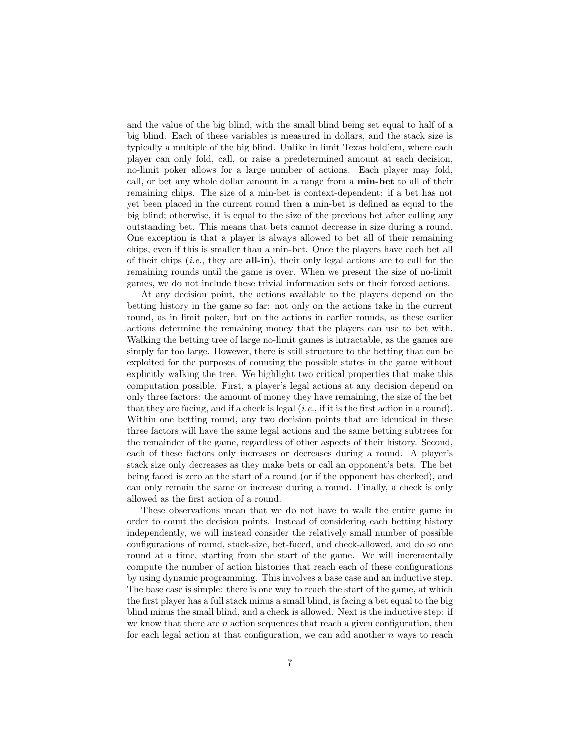and the value of the big blind, with the small blind being set equal to half of a big blind. Each of these variables is measured in dollars, and the stack size is typically a multiple of the big blind. Unlike in limit Texas hold'em, where each player can only fold, call, or raise a predetermined amount at each decision, no-limit poker allows for a large number of actions. Each player may fold, call, or bet any whole dollar amount in a range from a min-bet to all of their remaining chips. The size of a min-bet is context-dependent: if a bet has not yet been placed in the current round then a min-bet is defined as equal to the big blind; otherwise, it is equal to the size of the previous bet after calling any outstanding bet. This means that bets cannot decrease in size during a round. One exception is that a player is always allowed to bet all of their remaining chips, even if this is smaller than a min-bet. Once the players have each bet all of their chips  $(i.e.,$  they are **all-in**), their only legal actions are to call for the remaining rounds until the game is over. When we present the size of no-limit games, we do not include these trivial information sets or their forced actions.

At any decision point, the actions available to the players depend on the betting history in the game so far: not only on the actions take in the current round, as in limit poker, but on the actions in earlier rounds, as these earlier actions determine the remaining money that the players can use to bet with. Walking the betting tree of large no-limit games is intractable, as the games are simply far too large. However, there is still structure to the betting that can be exploited for the purposes of counting the possible states in the game without explicitly walking the tree. We highlight two critical properties that make this computation possible. First, a player's legal actions at any decision depend on only three factors: the amount of money they have remaining, the size of the bet that they are facing, and if a check is legal  $(i.e.,$  if it is the first action in a round). Within one betting round, any two decision points that are identical in these three factors will have the same legal actions and the same betting subtrees for the remainder of the game, regardless of other aspects of their history. Second, each of these factors only increases or decreases during a round. A player's stack size only decreases as they make bets or call an opponent's bets. The bet being faced is zero at the start of a round (or if the opponent has checked), and can only remain the same or increase during a round. Finally, a check is only allowed as the first action of a round.

These observations mean that we do not have to walk the entire game in order to count the decision points. Instead of considering each betting history independently, we will instead consider the relatively small number of possible configurations of round, stack-size, bet-faced, and check-allowed, and do so one round at a time, starting from the start of the game. We will incrementally compute the number of action histories that reach each of these configurations by using dynamic programming. This involves a base case and an inductive step. The base case is simple: there is one way to reach the start of the game, at which the first player has a full stack minus a small blind, is facing a bet equal to the big blind minus the small blind, and a check is allowed. Next is the inductive step: if we know that there are  $n$  action sequences that reach a given configuration, then for each legal action at that configuration, we can add another n ways to reach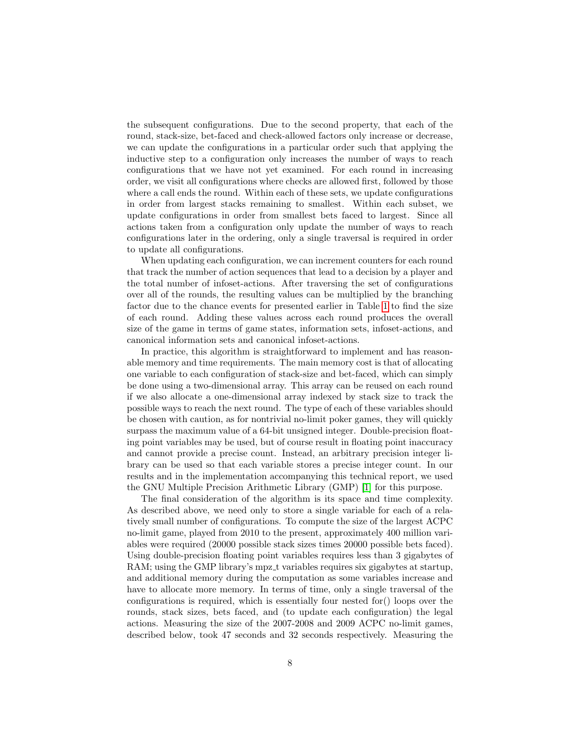the subsequent configurations. Due to the second property, that each of the round, stack-size, bet-faced and check-allowed factors only increase or decrease, we can update the configurations in a particular order such that applying the inductive step to a configuration only increases the number of ways to reach configurations that we have not yet examined. For each round in increasing order, we visit all configurations where checks are allowed first, followed by those where a call ends the round. Within each of these sets, we update configurations in order from largest stacks remaining to smallest. Within each subset, we update configurations in order from smallest bets faced to largest. Since all actions taken from a configuration only update the number of ways to reach configurations later in the ordering, only a single traversal is required in order to update all configurations.

When updating each configuration, we can increment counters for each round that track the number of action sequences that lead to a decision by a player and the total number of infoset-actions. After traversing the set of configurations over all of the rounds, the resulting values can be multiplied by the branching factor due to the chance events for presented earlier in Table [1](#page-3-0) to find the size of each round. Adding these values across each round produces the overall size of the game in terms of game states, information sets, infoset-actions, and canonical information sets and canonical infoset-actions.

In practice, this algorithm is straightforward to implement and has reasonable memory and time requirements. The main memory cost is that of allocating one variable to each configuration of stack-size and bet-faced, which can simply be done using a two-dimensional array. This array can be reused on each round if we also allocate a one-dimensional array indexed by stack size to track the possible ways to reach the next round. The type of each of these variables should be chosen with caution, as for nontrivial no-limit poker games, they will quickly surpass the maximum value of a 64-bit unsigned integer. Double-precision floating point variables may be used, but of course result in floating point inaccuracy and cannot provide a precise count. Instead, an arbitrary precision integer library can be used so that each variable stores a precise integer count. In our results and in the implementation accompanying this technical report, we used the GNU Multiple Precision Arithmetic Library (GMP) [\[1\]](#page-14-6) for this purpose.

The final consideration of the algorithm is its space and time complexity. As described above, we need only to store a single variable for each of a relatively small number of configurations. To compute the size of the largest ACPC no-limit game, played from 2010 to the present, approximately 400 million variables were required (20000 possible stack sizes times 20000 possible bets faced). Using double-precision floating point variables requires less than 3 gigabytes of RAM; using the GMP library's mpz t variables requires six gigabytes at startup, and additional memory during the computation as some variables increase and have to allocate more memory. In terms of time, only a single traversal of the configurations is required, which is essentially four nested for() loops over the rounds, stack sizes, bets faced, and (to update each configuration) the legal actions. Measuring the size of the 2007-2008 and 2009 ACPC no-limit games, described below, took 47 seconds and 32 seconds respectively. Measuring the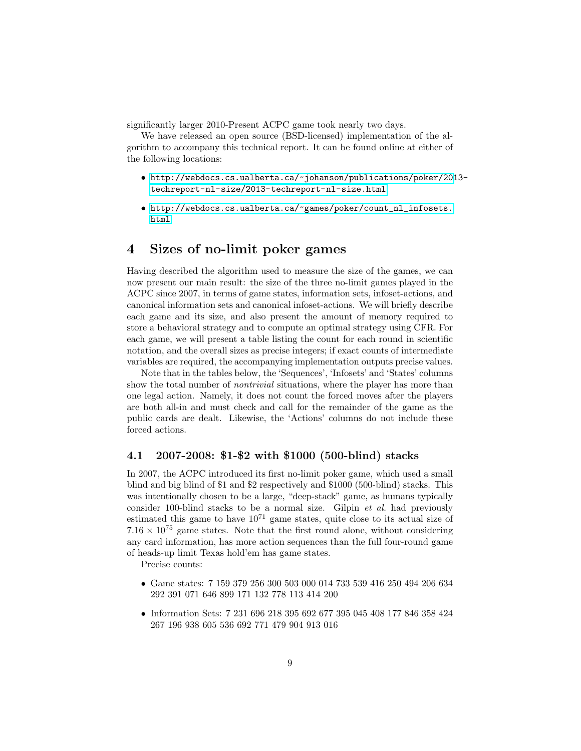significantly larger 2010-Present ACPC game took nearly two days.

We have released an open source (BSD-licensed) implementation of the algorithm to accompany this technical report. It can be found online at either of the following locations:

- [http://webdocs.cs.ualberta.ca/~johanson/publications/poker/201](http://webdocs.cs.ualberta.ca/~johanson/publications/poker/2013-techreport-nl-size/2013-techreport-nl-size.html)3 [techreport-nl-size/2013-techreport-nl-size.html](http://webdocs.cs.ualberta.ca/~johanson/publications/poker/2013-techreport-nl-size/2013-techreport-nl-size.html)
- [http://webdocs.cs.ualberta.ca/~games/poker/count\\_nl\\_infosets.](http://webdocs.cs.ualberta.ca/~games/poker/count_nl_infosets.html) [html](http://webdocs.cs.ualberta.ca/~games/poker/count_nl_infosets.html)

## <span id="page-8-0"></span>4 Sizes of no-limit poker games

Having described the algorithm used to measure the size of the games, we can now present our main result: the size of the three no-limit games played in the ACPC since 2007, in terms of game states, information sets, infoset-actions, and canonical information sets and canonical infoset-actions. We will briefly describe each game and its size, and also present the amount of memory required to store a behavioral strategy and to compute an optimal strategy using CFR. For each game, we will present a table listing the count for each round in scientific notation, and the overall sizes as precise integers; if exact counts of intermediate variables are required, the accompanying implementation outputs precise values.

Note that in the tables below, the 'Sequences', 'Infosets' and 'States' columns show the total number of *nontrivial* situations, where the player has more than one legal action. Namely, it does not count the forced moves after the players are both all-in and must check and call for the remainder of the game as the public cards are dealt. Likewise, the 'Actions' columns do not include these forced actions.

#### 4.1 2007-2008: \$1-\$2 with \$1000 (500-blind) stacks

In 2007, the ACPC introduced its first no-limit poker game, which used a small blind and big blind of \$1 and \$2 respectively and \$1000 (500-blind) stacks. This was intentionally chosen to be a large, "deep-stack" game, as humans typically consider 100-blind stacks to be a normal size. Gilpin et al. had previously estimated this game to have  $10^{71}$  game states, quite close to its actual size of  $7.16 \times 10^{75}$  game states. Note that the first round alone, without considering any card information, has more action sequences than the full four-round game of heads-up limit Texas hold'em has game states.

Precise counts:

- Game states: 7 159 379 256 300 503 000 014 733 539 416 250 494 206 634 292 391 071 646 899 171 132 778 113 414 200
- Information Sets: 7 231 696 218 395 692 677 395 045 408 177 846 358 424 267 196 938 605 536 692 771 479 904 913 016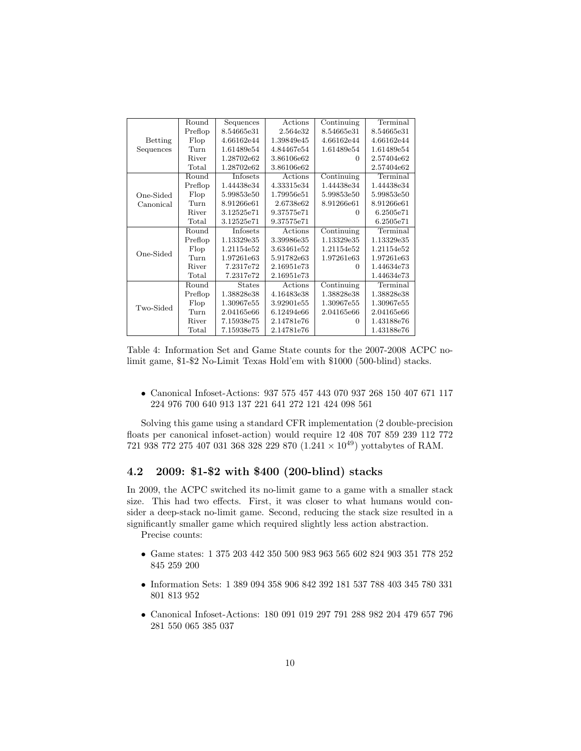|           | Round          | Sequences     | Actions    | Continuing | Terminal   |
|-----------|----------------|---------------|------------|------------|------------|
|           | Preflop        | 8.54665e31    | 2.564e32   | 8.54665e31 | 8.54665e31 |
| Betting   | Flop           | 4.66162e44    | 1.39849e45 | 4.66162e44 | 4.66162e44 |
| Sequences | Turn           | 1.61489e54    | 4.84467e54 | 1.61489e54 | 1.61489e54 |
|           | River          | 1.28702e62    | 3.86106e62 | 0          | 2.57404e62 |
|           | Total          | 1.28702e62    | 3.86106e62 |            | 2.57404e62 |
|           | Round          | Infosets      | Actions    | Continuing | Terminal   |
|           | Preflop        | 1.44438e34    | 4.33315e34 | 1.44438e34 | 1.44438e34 |
| One-Sided | Flop           | 5.99853e50    | 1.79956e51 | 5.99853e50 | 5.99853e50 |
| Canonical | Turn           | 8.91266e61    | 2.6738e62  | 8.91266e61 | 8.91266e61 |
|           | River          | 3.12525e71    | 9.37575e71 | $\Omega$   | 6.2505e71  |
|           | Total          | 3.12525e71    | 9.37575e71 |            | 6.2505e71  |
|           | Round          | Infosets      | Actions    | Continuing | Terminal   |
|           | Preflop        | 1.13329e35    | 3.39986e35 | 1.13329e35 | 1.13329e35 |
|           | Flop           | 1.21154e52    | 3.63461e52 | 1.21154e52 | 1.21154e52 |
| One-Sided | Turn           | 1.97261e63    | 5.91782e63 | 1.97261e63 | 1.97261e63 |
|           | River          | 7.2317e72     | 2.16951e73 | 0          | 1.44634e73 |
|           | Total          | 7.2317e72     | 2.16951e73 |            | 1.44634e73 |
|           | Round          | <b>States</b> | Actions    | Continuing | Terminal   |
|           | Preflop        | 1.38828e38    | 4.16483e38 | 1.38828e38 | 1.38828e38 |
|           | Flop           | 1.30967e55    | 3.92901e55 | 1.30967e55 | 1.30967e55 |
| Two-Sided | Turn           | 2.04165e66    | 6.12494e66 | 2.04165e66 | 2.04165e66 |
|           | River          | 7.15938e75    | 2.14781e76 | $\Omega$   | 1.43188e76 |
|           | $_{\rm Total}$ | 7.15938e75    | 2.14781e76 |            | 1.43188e76 |

Table 4: Information Set and Game State counts for the 2007-2008 ACPC nolimit game, \$1-\$2 No-Limit Texas Hold'em with \$1000 (500-blind) stacks.

• Canonical Infoset-Actions: 937 575 457 443 070 937 268 150 407 671 117 224 976 700 640 913 137 221 641 272 121 424 098 561

Solving this game using a standard CFR implementation (2 double-precision floats per canonical infoset-action) would require 12 408 707 859 239 112 772 721 938 772 275 407 031 368 328 229 870  $(1.241 \times 10^{49})$  yottabytes of RAM.

#### 4.2 2009: \$1-\$2 with \$400 (200-blind) stacks

In 2009, the ACPC switched its no-limit game to a game with a smaller stack size. This had two effects. First, it was closer to what humans would consider a deep-stack no-limit game. Second, reducing the stack size resulted in a significantly smaller game which required slightly less action abstraction.

Precise counts:

- Game states: 1 375 203 442 350 500 983 963 565 602 824 903 351 778 252 845 259 200
- Information Sets: 1 389 094 358 906 842 392 181 537 788 403 345 780 331 801 813 952
- Canonical Infoset-Actions: 180 091 019 297 791 288 982 204 479 657 796 281 550 065 385 037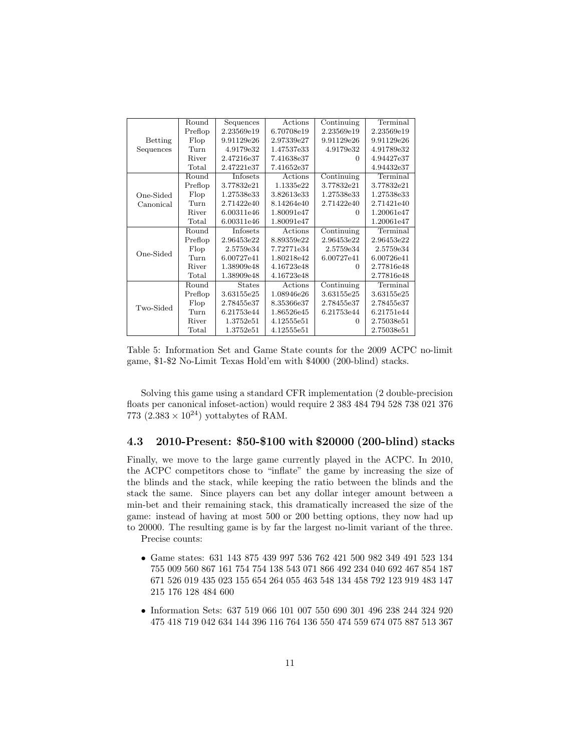|           | Round          | Sequences     | Actions    | Continuing | Terminal   |
|-----------|----------------|---------------|------------|------------|------------|
|           | Preflop        | 2.23569e19    | 6.70708e19 | 2.23569e19 | 2.23569e19 |
| Betting   | Flop           | 9.91129e26    | 2.97339e27 | 9.91129e26 | 9.91129e26 |
| Sequences | Turn           | 4.9179e32     | 1.47537e33 | 4.9179e32  | 4.91789e32 |
|           | River          | 2.47216e37    | 7.41638e37 | 0          | 4.94427e37 |
|           | $_{\rm Total}$ | 2.47221e37    | 7.41652e37 |            | 4.94432e37 |
|           | Round          | Infosets      | Actions    | Continuing | Terminal   |
|           | Preflop        | 3.77832e21    | 1.1335e22  | 3.77832e21 | 3.77832e21 |
| One-Sided | Flop           | 1.27538e33    | 3.82613e33 | 1.27538e33 | 1.27538e33 |
| Canonical | Turn           | 2.71422e40    | 8.14264e40 | 2.71422e40 | 2.71421e40 |
|           | River          | 6.00311e46    | 1.80091e47 | $\Omega$   | 1.20061e47 |
|           | $_{\rm Total}$ | 6.00311e46    | 1.80091e47 |            | 1.20061e47 |
|           | Round          | Infosets      | Actions    | Continuing | Terminal   |
|           | Preflop        | 2.96453e22    | 8.89359e22 | 2.96453e22 | 2.96453e22 |
|           | Flop           | 2.5759e34     | 7.72771e34 | 2.5759e34  | 2.5759e34  |
| One-Sided | Turn           | 6.00727e41    | 1.80218e42 | 6.00727e41 | 6.00726e41 |
|           | River          | 1.38909e48    | 4.16723e48 | $\Omega$   | 2.77816e48 |
|           | Total          | 1.38909e48    | 4.16723e48 |            | 2.77816e48 |
|           | Round          | <b>States</b> | Actions    | Continuing | Terminal   |
|           | Preflop        | 3.63155e25    | 1.08946e26 | 3.63155e25 | 3.63155e25 |
|           | Flop           | 2.78455e37    | 8.35366e37 | 2.78455e37 | 2.78455e37 |
| Two-Sided | Turn           | 6.21753e44    | 1.86526e45 | 6.21753e44 | 6.21751e44 |
|           | River          | 1.3752e51     | 4.12555e51 | $\Omega$   | 2.75038e51 |
|           | $_{\rm Total}$ | 1.3752e51     | 4.12555e51 |            | 2.75038e51 |

Table 5: Information Set and Game State counts for the 2009 ACPC no-limit game, \$1-\$2 No-Limit Texas Hold'em with \$4000 (200-blind) stacks.

Solving this game using a standard CFR implementation (2 double-precision floats per canonical infoset-action) would require 2 383 484 794 528 738 021 376 773  $(2.383 \times 10^{24})$  yottabytes of RAM.

#### 4.3 2010-Present: \$50-\$100 with \$20000 (200-blind) stacks

Finally, we move to the large game currently played in the ACPC. In 2010, the ACPC competitors chose to "inflate" the game by increasing the size of the blinds and the stack, while keeping the ratio between the blinds and the stack the same. Since players can bet any dollar integer amount between a min-bet and their remaining stack, this dramatically increased the size of the game: instead of having at most 500 or 200 betting options, they now had up to 20000. The resulting game is by far the largest no-limit variant of the three.

Precise counts:

- Game states: 631 143 875 439 997 536 762 421 500 982 349 491 523 134 755 009 560 867 161 754 754 138 543 071 866 492 234 040 692 467 854 187 671 526 019 435 023 155 654 264 055 463 548 134 458 792 123 919 483 147 215 176 128 484 600
- Information Sets: 637 519 066 101 007 550 690 301 496 238 244 324 920 475 418 719 042 634 144 396 116 764 136 550 474 559 674 075 887 513 367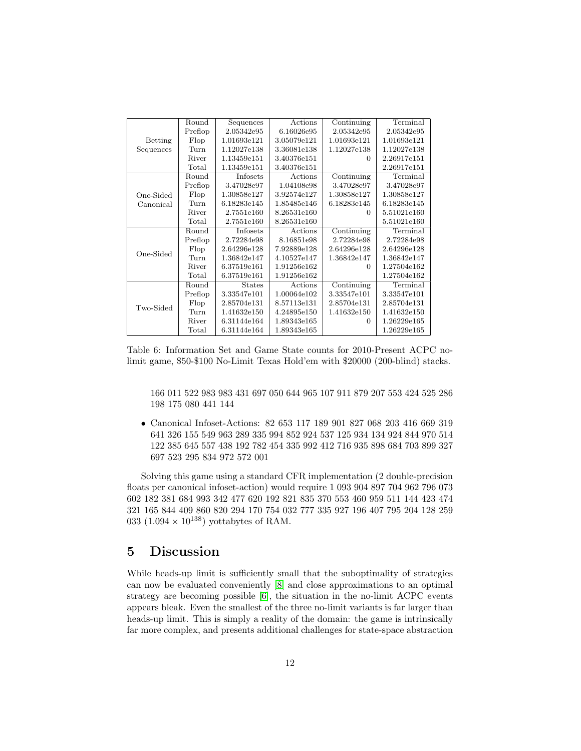|                | Round   | Sequences     | Actions     | Continuing  | Terminal    |
|----------------|---------|---------------|-------------|-------------|-------------|
|                | Preflop | 2.05342e95    | 6.16026e95  | 2.05342e95  | 2.05342e95  |
| <b>Betting</b> | Flop    | 1.01693e121   | 3.05079e121 | 1.01693e121 | 1.01693e121 |
| Sequences      | Turn    | 1.12027e138   | 3.36081e138 | 1.12027e138 | 1.12027e138 |
|                | River   | 1.13459e151   | 3.40376e151 | $\Omega$    | 2.26917e151 |
|                | Total   | 1.13459e151   | 3.40376e151 |             | 2.26917e151 |
|                | Round   | Infosets      | Actions     | Continuing  | Terminal    |
|                | Preflop | 3.47028e97    | 1.04108e98  | 3.47028e97  | 3.47028e97  |
| One-Sided      | Flop    | 1.30858e127   | 3.92574e127 | 1.30858e127 | 1.30858e127 |
| Canonical      | Turn    | 6.18283e145   | 1.85485e146 | 6.18283e145 | 6.18283e145 |
|                | River   | 2.7551e160    | 8.26531e160 | 0           | 5.51021e160 |
|                | Total   | 2.7551e160    | 8.26531e160 |             | 5.51021e160 |
|                | Round   | Infosets      | Actions     | Continuing  | Terminal    |
|                | Preflop | 2.72284e98    | 8.16851e98  | 2.72284e98  | 2.72284e98  |
|                | Flop    | 2.64296e128   | 7.92889e128 | 2.64296e128 | 2.64296e128 |
| One-Sided      | Turn    | 1.36842e147   | 4.10527e147 | 1.36842e147 | 1.36842e147 |
|                | River   | 6.37519e161   | 1.91256e162 | 0           | 1.27504e162 |
|                | Total   | 6.37519e161   | 1.91256e162 |             | 1.27504e162 |
|                | Round   | <b>States</b> | Actions     | Continuing  | Terminal    |
|                | Preflop | 3.33547e101   | 1.00064e102 | 3.33547e101 | 3.33547e101 |
| Two-Sided      | Flop    | 2.85704e131   | 8.57113e131 | 2.85704e131 | 2.85704e131 |
|                | Turn    | 1.41632e150   | 4.24895e150 | 1.41632e150 | 1.41632e150 |
|                | River   | 6.31144e164   | 1.89343e165 | 0           | 1.26229e165 |
|                | Total   | 6.31144e164   | 1.89343e165 |             | 1.26229e165 |

Table 6: Information Set and Game State counts for 2010-Present ACPC nolimit game, \$50-\$100 No-Limit Texas Hold'em with \$20000 (200-blind) stacks.

166 011 522 983 983 431 697 050 644 965 107 911 879 207 553 424 525 286 198 175 080 441 144

• Canonical Infoset-Actions: 82 653 117 189 901 827 068 203 416 669 319 641 326 155 549 963 289 335 994 852 924 537 125 934 134 924 844 970 514 122 385 645 557 438 192 782 454 335 992 412 716 935 898 684 703 899 327 697 523 295 834 972 572 001

Solving this game using a standard CFR implementation (2 double-precision floats per canonical infoset-action) would require 1 093 904 897 704 962 796 073 602 182 381 684 993 342 477 620 192 821 835 370 553 460 959 511 144 423 474 321 165 844 409 860 820 294 170 754 032 777 335 927 196 407 795 204 128 259 033  $(1.094 \times 10^{138})$  yottabytes of RAM.

## 5 Discussion

While heads-up limit is sufficiently small that the suboptimality of strategies can now be evaluated conveniently [\[8\]](#page-14-5) and close approximations to an optimal strategy are becoming possible [\[6\]](#page-14-1), the situation in the no-limit ACPC events appears bleak. Even the smallest of the three no-limit variants is far larger than heads-up limit. This is simply a reality of the domain: the game is intrinsically far more complex, and presents additional challenges for state-space abstraction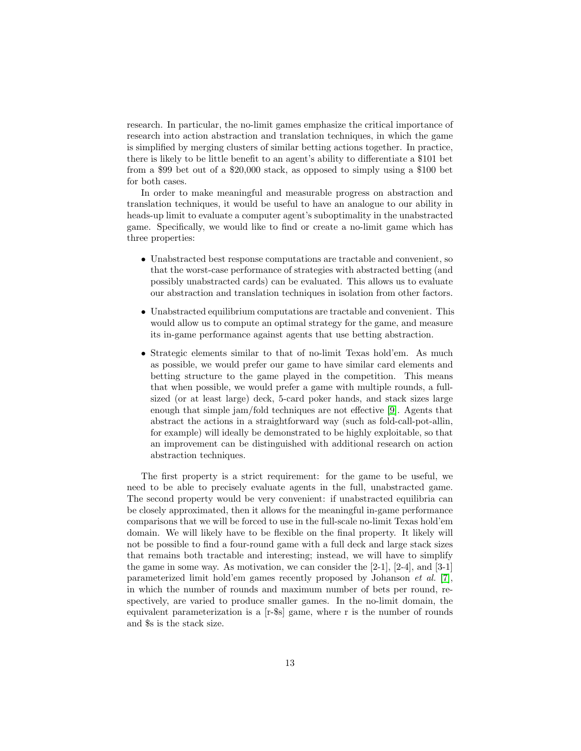research. In particular, the no-limit games emphasize the critical importance of research into action abstraction and translation techniques, in which the game is simplified by merging clusters of similar betting actions together. In practice, there is likely to be little benefit to an agent's ability to differentiate a \$101 bet from a \$99 bet out of a \$20,000 stack, as opposed to simply using a \$100 bet for both cases.

In order to make meaningful and measurable progress on abstraction and translation techniques, it would be useful to have an analogue to our ability in heads-up limit to evaluate a computer agent's suboptimality in the unabstracted game. Specifically, we would like to find or create a no-limit game which has three properties:

- Unabstracted best response computations are tractable and convenient, so that the worst-case performance of strategies with abstracted betting (and possibly unabstracted cards) can be evaluated. This allows us to evaluate our abstraction and translation techniques in isolation from other factors.
- Unabstracted equilibrium computations are tractable and convenient. This would allow us to compute an optimal strategy for the game, and measure its in-game performance against agents that use betting abstraction.
- Strategic elements similar to that of no-limit Texas hold'em. As much as possible, we would prefer our game to have similar card elements and betting structure to the game played in the competition. This means that when possible, we would prefer a game with multiple rounds, a fullsized (or at least large) deck, 5-card poker hands, and stack sizes large enough that simple jam/fold techniques are not effective [\[9\]](#page-15-3). Agents that abstract the actions in a straightforward way (such as fold-call-pot-allin, for example) will ideally be demonstrated to be highly exploitable, so that an improvement can be distinguished with additional research on action abstraction techniques.

The first property is a strict requirement: for the game to be useful, we need to be able to precisely evaluate agents in the full, unabstracted game. The second property would be very convenient: if unabstracted equilibria can be closely approximated, then it allows for the meaningful in-game performance comparisons that we will be forced to use in the full-scale no-limit Texas hold'em domain. We will likely have to be flexible on the final property. It likely will not be possible to find a four-round game with a full deck and large stack sizes that remains both tractable and interesting; instead, we will have to simplify the game in some way. As motivation, we can consider the [2-1], [2-4], and [3-1] parameterized limit hold'em games recently proposed by Johanson et al. [\[7\]](#page-14-7), in which the number of rounds and maximum number of bets per round, respectively, are varied to produce smaller games. In the no-limit domain, the equivalent parameterization is a [r-\$s] game, where r is the number of rounds and \$s is the stack size.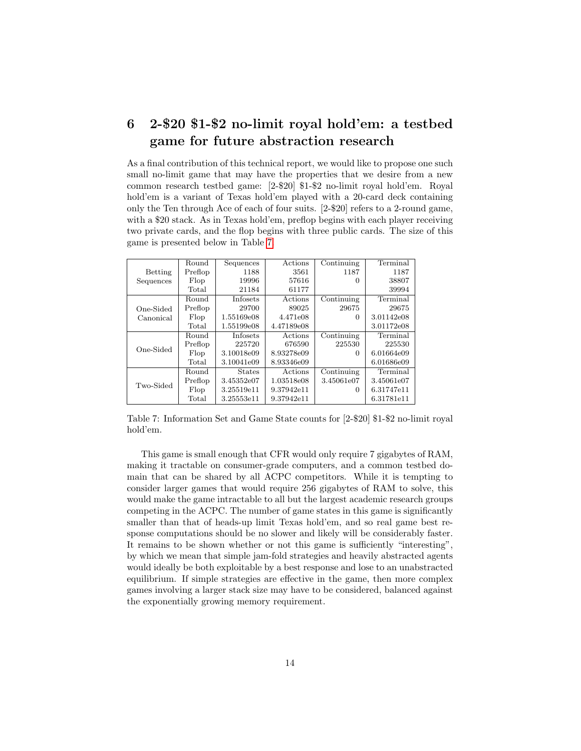## 6 2-\$20 \$1-\$2 no-limit royal hold'em: a testbed game for future abstraction research

As a final contribution of this technical report, we would like to propose one such small no-limit game that may have the properties that we desire from a new common research testbed game: [2-\$20] \$1-\$2 no-limit royal hold'em. Royal hold'em is a variant of Texas hold'em played with a 20-card deck containing only the Ten through Ace of each of four suits. [2-\$20] refers to a 2-round game, with a \$20 stack. As in Texas hold'em, preflop begins with each player receiving two private cards, and the flop begins with three public cards. The size of this game is presented below in Table [7.](#page-13-0)

<span id="page-13-0"></span>

|           | Round   | Sequences       | Actions    | Continuing | Terminal   |
|-----------|---------|-----------------|------------|------------|------------|
| Betting   | Preflop | 1188            | 3561       | 1187       | 1187       |
| Sequences | Flop    | 19996           | 57616      | 0          | 38807      |
|           | Total   | 21184           | 61177      |            | 39994      |
|           | Round   | <b>Infosets</b> | Actions    | Continuing | Terminal   |
| One-Sided | Preflop | 29700           | 89025      | 29675      | 29675      |
| Canonical | Flop    | 1.55169e08      | 4.471e08   | $\Omega$   | 3.01142e08 |
|           | Total   | 1.55199e08      | 4.47189e08 |            | 3.01172e08 |
|           | Round   | <b>Infosets</b> | Actions    | Continuing | Terminal   |
|           | Preflop | 225720          | 676590     | 225530     | 225530     |
| One-Sided | Flop    | 3.10018e09      | 8.93278e09 | 0          | 6.01664e09 |
|           | Total   | 3.10041e09      | 8.93346e09 |            | 6.01686e09 |
|           | Round   | <b>States</b>   | Actions    | Continuing | Terminal   |
|           | Preflop | 3.45352e07      | 1.03518e08 | 3.45061e07 | 3.45061e07 |
| Two-Sided | Flop    | 3.25519e11      | 9.37942e11 | $\Omega$   | 6.31747e11 |
|           | Total   | 3.25553e11      | 9.37942e11 |            | 6.31781e11 |

Table 7: Information Set and Game State counts for [2-\$20] \$1-\$2 no-limit royal hold'em.

This game is small enough that CFR would only require 7 gigabytes of RAM, making it tractable on consumer-grade computers, and a common testbed domain that can be shared by all ACPC competitors. While it is tempting to consider larger games that would require 256 gigabytes of RAM to solve, this would make the game intractable to all but the largest academic research groups competing in the ACPC. The number of game states in this game is significantly smaller than that of heads-up limit Texas hold'em, and so real game best response computations should be no slower and likely will be considerably faster. It remains to be shown whether or not this game is sufficiently "interesting", by which we mean that simple jam-fold strategies and heavily abstracted agents would ideally be both exploitable by a best response and lose to an unabstracted equilibrium. If simple strategies are effective in the game, then more complex games involving a larger stack size may have to be considered, balanced against the exponentially growing memory requirement.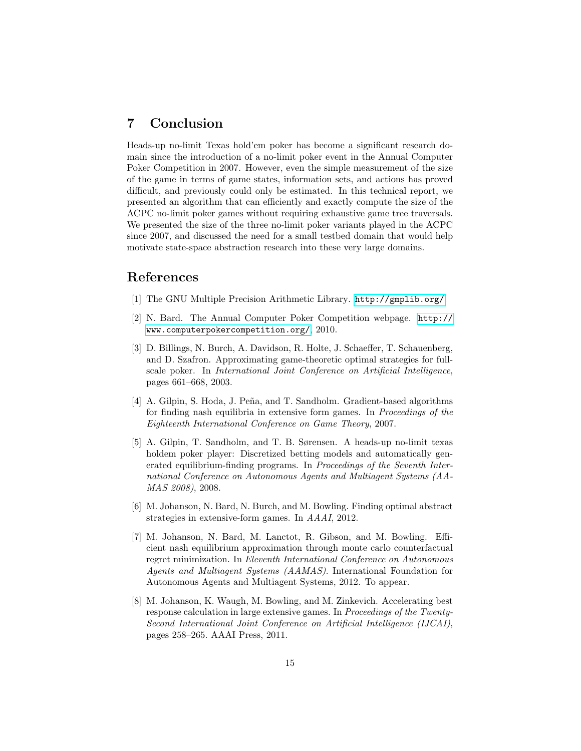## 7 Conclusion

Heads-up no-limit Texas hold'em poker has become a significant research domain since the introduction of a no-limit poker event in the Annual Computer Poker Competition in 2007. However, even the simple measurement of the size of the game in terms of game states, information sets, and actions has proved difficult, and previously could only be estimated. In this technical report, we presented an algorithm that can efficiently and exactly compute the size of the ACPC no-limit poker games without requiring exhaustive game tree traversals. We presented the size of the three no-limit poker variants played in the ACPC since 2007, and discussed the need for a small testbed domain that would help motivate state-space abstraction research into these very large domains.

## References

- <span id="page-14-6"></span>[1] The GNU Multiple Precision Arithmetic Library. <http://gmplib.org/>.
- <span id="page-14-0"></span>[2] N. Bard. The Annual Computer Poker Competition webpage. [http://](http://www.computerpokercompetition.org/) [www.computerpokercompetition.org/](http://www.computerpokercompetition.org/), 2010.
- <span id="page-14-3"></span>[3] D. Billings, N. Burch, A. Davidson, R. Holte, J. Schaeffer, T. Schauenberg, and D. Szafron. Approximating game-theoretic optimal strategies for fullscale poker. In International Joint Conference on Artificial Intelligence, pages 661–668, 2003.
- <span id="page-14-4"></span>[4] A. Gilpin, S. Hoda, J. Peña, and T. Sandholm. Gradient-based algorithms for finding nash equilibria in extensive form games. In Proceedings of the Eighteenth International Conference on Game Theory, 2007.
- <span id="page-14-2"></span>[5] A. Gilpin, T. Sandholm, and T. B. Sørensen. A heads-up no-limit texas holdem poker player: Discretized betting models and automatically generated equilibrium-finding programs. In Proceedings of the Seventh International Conference on Autonomous Agents and Multiagent Systems (AA-MAS 2008), 2008.
- <span id="page-14-1"></span>[6] M. Johanson, N. Bard, N. Burch, and M. Bowling. Finding optimal abstract strategies in extensive-form games. In AAAI, 2012.
- <span id="page-14-7"></span>[7] M. Johanson, N. Bard, M. Lanctot, R. Gibson, and M. Bowling. Efficient nash equilibrium approximation through monte carlo counterfactual regret minimization. In Eleventh International Conference on Autonomous Agents and Multiagent Systems (AAMAS). International Foundation for Autonomous Agents and Multiagent Systems, 2012. To appear.
- <span id="page-14-5"></span>[8] M. Johanson, K. Waugh, M. Bowling, and M. Zinkevich. Accelerating best response calculation in large extensive games. In Proceedings of the Twenty-Second International Joint Conference on Artificial Intelligence (IJCAI), pages 258–265. AAAI Press, 2011.